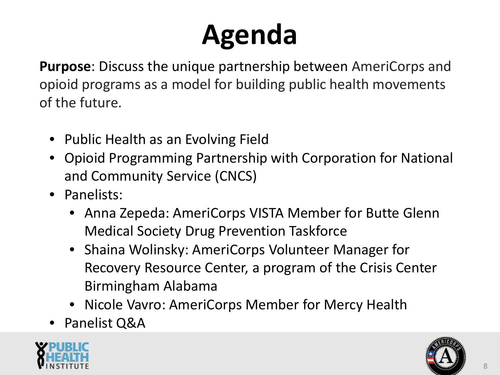### **Agenda**

**Purpose**: Discuss the unique partnership between AmeriCorps and opioid programs as a model for building public health movements of the future.

- Public Health as an Evolving Field
- Opioid Programming Partnership with Corporation for National and Community Service (CNCS)
- Panelists:
	- Anna Zepeda: AmeriCorps VISTA Member for Butte Glenn Medical Society Drug Prevention Taskforce
	- Shaina Wolinsky: AmeriCorps Volunteer Manager for Recovery Resource Center, a program of the Crisis Center Birmingham Alabama
	- Nicole Vavro: AmeriCorps Member for Mercy Health
- Panelist Q&A



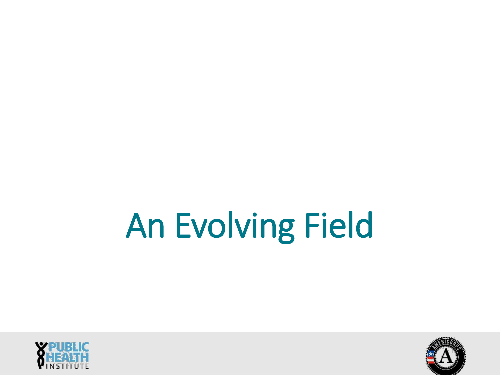# An Evolving Field



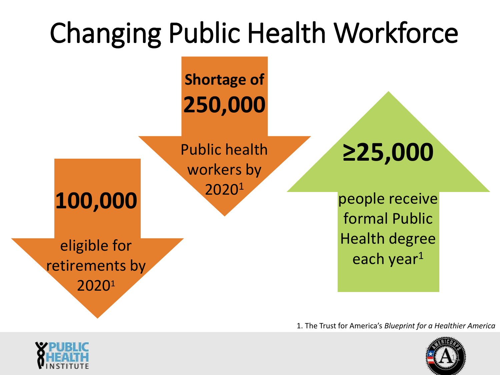

1. The Trust for America's *Blueprint for a Healthier America*



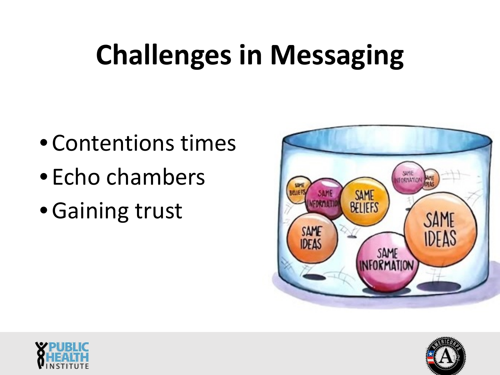### **Challenges in Messaging**

- Contentions times
- Echo chambers
- •Gaining trust





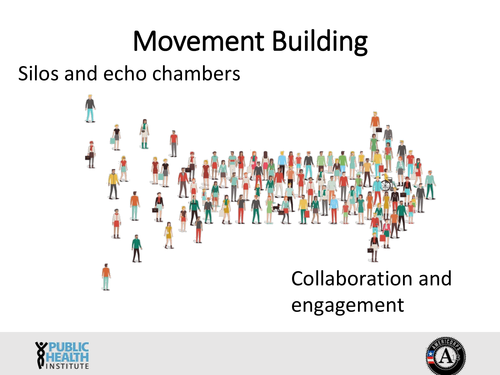### Movement Building

Silos and echo chambers





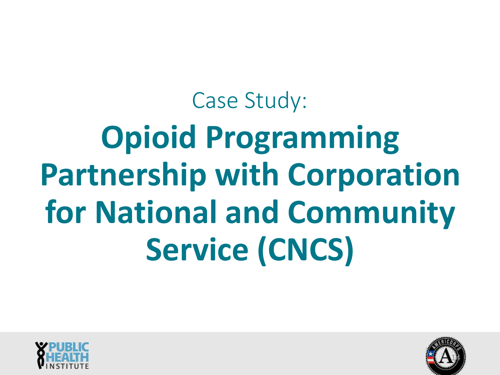# Case Study: **Opioid Programming Partnership with Corporation for National and Community Service (CNCS)**



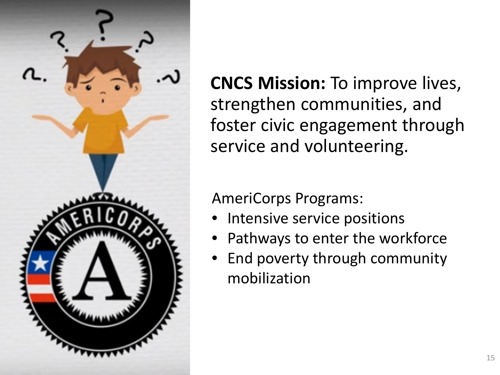

**CNCS Mission:** To improve lives, strengthen communities, and foster civic engagement through service and volunteering.

AmeriCorps Programs:

- Intensive service positions
- Pathways to enter the workforce
- End poverty through community mobilization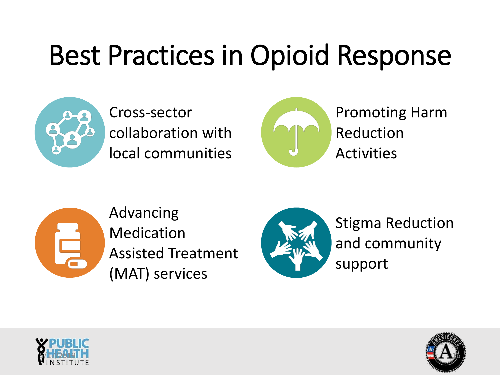#### Best Practices in Opioid Response



Cross-sector collaboration with local communities



Promoting Harm Reduction Activities



Advancing Medication Assisted Treatment (MAT) services



Stigma Reduction and community support



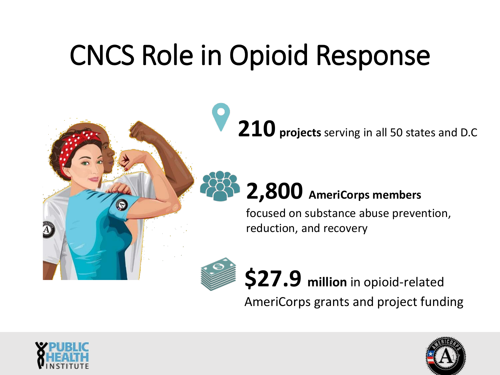### CNCS Role in Opioid Response

**210 projects** serving in all 50 states and D.C

#### **2,800 AmeriCorps members**

focused on substance abuse prevention, reduction, and recovery



**\$27.9 million** in opioid-related

AmeriCorps grants and project funding



 $\bigodot$ 

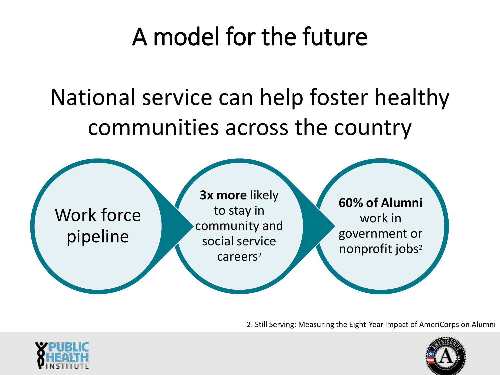#### A model for the future

#### National service can help foster healthy communities across the country



2. Still Serving: Measuring the Eight-Year Impact of AmeriCorps on Alumni



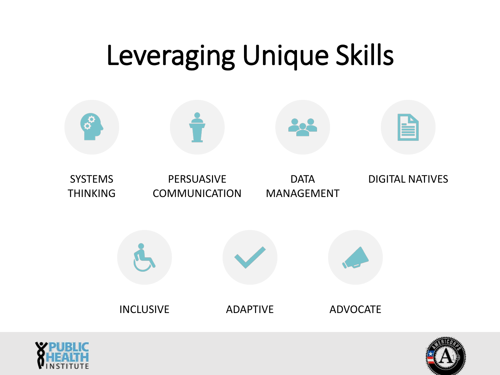### Leveraging Unique Skills





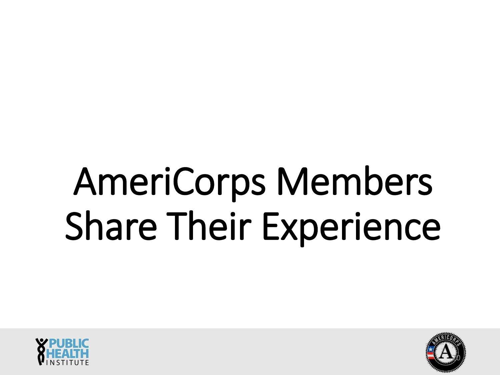# AmeriCorps Members Share Their Experience



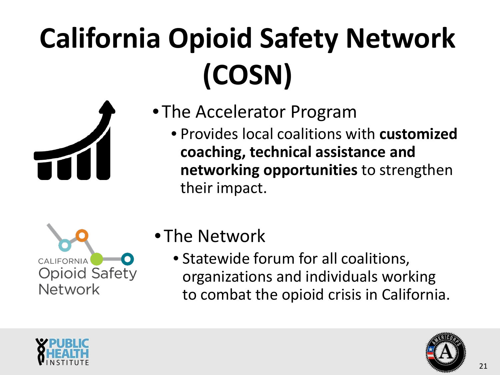# **California Opioid Safety Network (COSN)**



- The Accelerator Program
	- Provides local coalitions with **customized coaching, technical assistance and networking opportunities** to strengthen their impact.



- The Network
	- Statewide forum for all coalitions, organizations and individuals working to combat the opioid crisis in California.



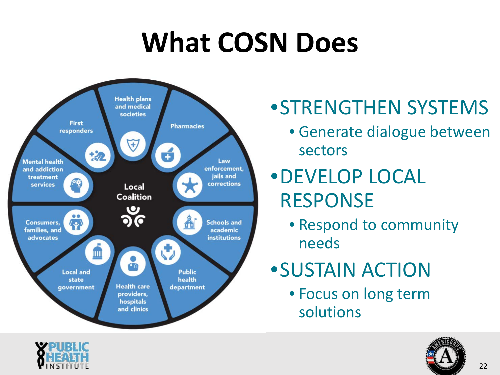### **What COSN Does**



#### •STRENGTHEN SYSTEMS

• Generate dialogue between sectors

#### •DEVELOP LOCAL RESPONSE

• Respond to community needs

#### •SUSTAIN ACTION

• Focus on long term solutions